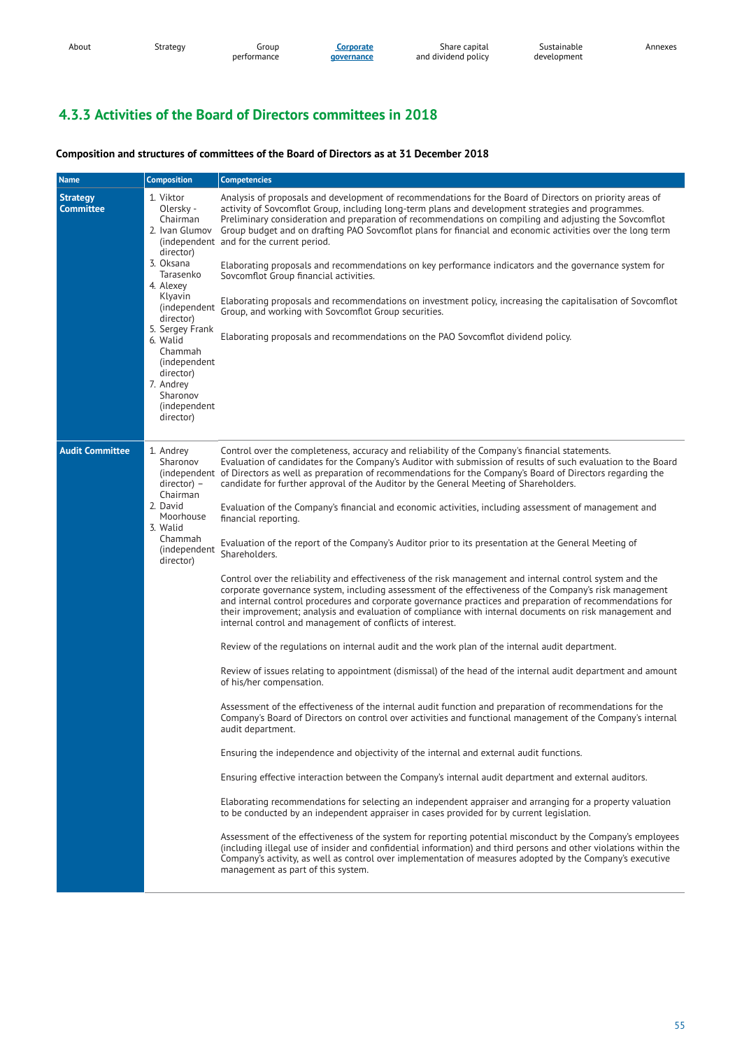| About | strategy | aroup<br>performance | Lorporate<br><b>governance</b> | Share capital<br>and dividend policy | Sustainable<br>development | Annexes |
|-------|----------|----------------------|--------------------------------|--------------------------------------|----------------------------|---------|
|       |          |                      |                                |                                      |                            |         |

# **4.3.3 Activities of the Board of Directors committees in 2018**

## **Composition and structures of committees of the Board of Directors as at 31 December 2018**

| <b>Name</b>                         | <b>Composition</b>                                                                                                                                                                                                                                                             | <b>Competencies</b>                                                                                                                                                                                                                                                                                                                                                                                                                                                                                                                                                                                                                                                                                                                                                                                                                                                                                                                                                                                                                                                                                                                                                                                                                                                                                                                                                                                                                                                                                                                                                                                                                                                                                                                                                                                                                                                                                                                                                                                                                                                                                                                                                                                                                                                                                                                                                                                                                                                                                             |
|-------------------------------------|--------------------------------------------------------------------------------------------------------------------------------------------------------------------------------------------------------------------------------------------------------------------------------|-----------------------------------------------------------------------------------------------------------------------------------------------------------------------------------------------------------------------------------------------------------------------------------------------------------------------------------------------------------------------------------------------------------------------------------------------------------------------------------------------------------------------------------------------------------------------------------------------------------------------------------------------------------------------------------------------------------------------------------------------------------------------------------------------------------------------------------------------------------------------------------------------------------------------------------------------------------------------------------------------------------------------------------------------------------------------------------------------------------------------------------------------------------------------------------------------------------------------------------------------------------------------------------------------------------------------------------------------------------------------------------------------------------------------------------------------------------------------------------------------------------------------------------------------------------------------------------------------------------------------------------------------------------------------------------------------------------------------------------------------------------------------------------------------------------------------------------------------------------------------------------------------------------------------------------------------------------------------------------------------------------------------------------------------------------------------------------------------------------------------------------------------------------------------------------------------------------------------------------------------------------------------------------------------------------------------------------------------------------------------------------------------------------------------------------------------------------------------------------------------------------------|
| <b>Strategy</b><br><b>Committee</b> | 1. Viktor<br>Olersky -<br>Chairman<br>2. Ivan Glumov<br>director)<br>3. Oksana<br>Tarasenko<br>4. Alexey<br>Klyavin<br>(independent<br>director)<br>5. Sergey Frank<br>6. Walid<br>Chammah<br>(independent)<br>director)<br>7. Andrey<br>Sharonov<br>(independent<br>director) | Analysis of proposals and development of recommendations for the Board of Directors on priority areas of<br>activity of Sovcomflot Group, including long-term plans and development strategies and programmes.<br>Preliminary consideration and preparation of recommendations on compiling and adjusting the Sovcomflot<br>Group budget and on drafting PAO Sovcomflot plans for financial and economic activities over the long term<br>(independent and for the current period.<br>Elaborating proposals and recommendations on key performance indicators and the governance system for<br>Sovcomflot Group financial activities.<br>Elaborating proposals and recommendations on investment policy, increasing the capitalisation of Sovcomflot<br>Group, and working with Sovcomflot Group securities.<br>Elaborating proposals and recommendations on the PAO Sovcomflot dividend policy.                                                                                                                                                                                                                                                                                                                                                                                                                                                                                                                                                                                                                                                                                                                                                                                                                                                                                                                                                                                                                                                                                                                                                                                                                                                                                                                                                                                                                                                                                                                                                                                                                |
| <b>Audit Committee</b>              | 1. Andrey<br>Sharonov<br>$directory -$<br>Chairman<br>2. David<br>Moorhouse<br>3. Walid<br>Chammah<br>(independent<br>director)                                                                                                                                                | Control over the completeness, accuracy and reliability of the Company's financial statements.<br>Evaluation of candidates for the Company's Auditor with submission of results of such evaluation to the Board<br>(independent of Directors as well as preparation of recommendations for the Company's Board of Directors regarding the<br>candidate for further approval of the Auditor by the General Meeting of Shareholders.<br>Evaluation of the Company's financial and economic activities, including assessment of management and<br>financial reporting.<br>Evaluation of the report of the Company's Auditor prior to its presentation at the General Meeting of<br>Shareholders.<br>Control over the reliability and effectiveness of the risk management and internal control system and the<br>corporate governance system, including assessment of the effectiveness of the Company's risk management<br>and internal control procedures and corporate governance practices and preparation of recommendations for<br>their improvement; analysis and evaluation of compliance with internal documents on risk management and<br>internal control and management of conflicts of interest.<br>Review of the regulations on internal audit and the work plan of the internal audit department.<br>Review of issues relating to appointment (dismissal) of the head of the internal audit department and amount<br>of his/her compensation.<br>Assessment of the effectiveness of the internal audit function and preparation of recommendations for the<br>Company's Board of Directors on control over activities and functional management of the Company's internal<br>audit department.<br>Ensuring the independence and objectivity of the internal and external audit functions.<br>Ensuring effective interaction between the Company's internal audit department and external auditors.<br>Elaborating recommendations for selecting an independent appraiser and arranging for a property valuation<br>to be conducted by an independent appraiser in cases provided for by current legislation.<br>Assessment of the effectiveness of the system for reporting potential misconduct by the Company's employees<br>(including illegal use of insider and confidential information) and third persons and other violations within the<br>Company's activity, as well as control over implementation of measures adopted by the Company's executive<br>management as part of this system. |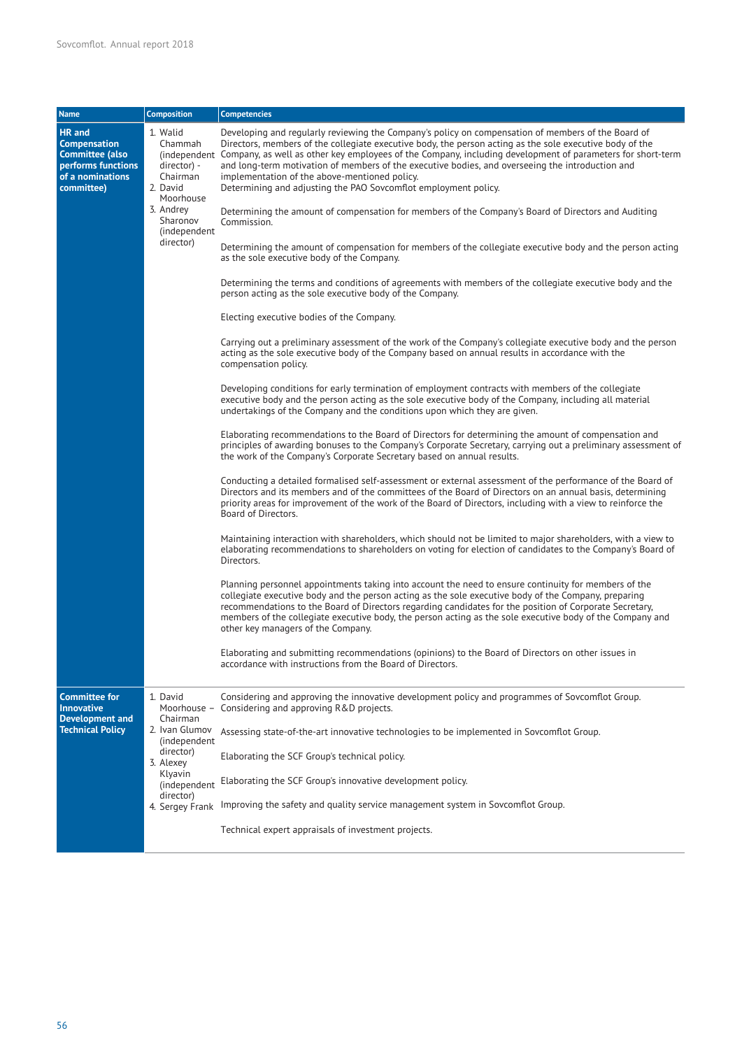| <b>Name</b>                                                                                                     | <b>Composition</b>                                                                                           | <b>Competencies</b>                                                                                                                                                                                                                                                                                                                                                                                                                                                                                                                                               |
|-----------------------------------------------------------------------------------------------------------------|--------------------------------------------------------------------------------------------------------------|-------------------------------------------------------------------------------------------------------------------------------------------------------------------------------------------------------------------------------------------------------------------------------------------------------------------------------------------------------------------------------------------------------------------------------------------------------------------------------------------------------------------------------------------------------------------|
| HR and<br><b>Compensation</b><br><b>Committee (also</b><br>performs functions<br>of a nominations<br>committee) | 1. Walid<br>Chammah<br>director) -<br>Chairman<br>2. David<br>Moorhouse                                      | Developing and regularly reviewing the Company's policy on compensation of members of the Board of<br>Directors, members of the collegiate executive body, the person acting as the sole executive body of the<br>(independent Company, as well as other key employees of the Company, including development of parameters for short-term<br>and long-term motivation of members of the executive bodies, and overseeing the introduction and<br>implementation of the above-mentioned policy.<br>Determining and adjusting the PAO Sovcomflot employment policy. |
|                                                                                                                 | 3. Andrey<br>Sharonov<br>(independent                                                                        | Determining the amount of compensation for members of the Company's Board of Directors and Auditing<br>Commission.                                                                                                                                                                                                                                                                                                                                                                                                                                                |
|                                                                                                                 | director)                                                                                                    | Determining the amount of compensation for members of the collegiate executive body and the person acting<br>as the sole executive body of the Company.                                                                                                                                                                                                                                                                                                                                                                                                           |
|                                                                                                                 |                                                                                                              | Determining the terms and conditions of agreements with members of the collegiate executive body and the<br>person acting as the sole executive body of the Company.                                                                                                                                                                                                                                                                                                                                                                                              |
|                                                                                                                 |                                                                                                              | Electing executive bodies of the Company.                                                                                                                                                                                                                                                                                                                                                                                                                                                                                                                         |
|                                                                                                                 |                                                                                                              | Carrying out a preliminary assessment of the work of the Company's collegiate executive body and the person<br>acting as the sole executive body of the Company based on annual results in accordance with the<br>compensation policy.                                                                                                                                                                                                                                                                                                                            |
|                                                                                                                 |                                                                                                              | Developing conditions for early termination of employment contracts with members of the collegiate<br>executive body and the person acting as the sole executive body of the Company, including all material<br>undertakings of the Company and the conditions upon which they are given.                                                                                                                                                                                                                                                                         |
|                                                                                                                 |                                                                                                              | Elaborating recommendations to the Board of Directors for determining the amount of compensation and<br>principles of awarding bonuses to the Company's Corporate Secretary, carrying out a preliminary assessment of<br>the work of the Company's Corporate Secretary based on annual results.                                                                                                                                                                                                                                                                   |
|                                                                                                                 |                                                                                                              | Conducting a detailed formalised self-assessment or external assessment of the performance of the Board of<br>Directors and its members and of the committees of the Board of Directors on an annual basis, determining<br>priority areas for improvement of the work of the Board of Directors, including with a view to reinforce the<br>Board of Directors.                                                                                                                                                                                                    |
|                                                                                                                 |                                                                                                              | Maintaining interaction with shareholders, which should not be limited to major shareholders, with a view to<br>elaborating recommendations to shareholders on voting for election of candidates to the Company's Board of<br>Directors.                                                                                                                                                                                                                                                                                                                          |
|                                                                                                                 |                                                                                                              | Planning personnel appointments taking into account the need to ensure continuity for members of the<br>collegiate executive body and the person acting as the sole executive body of the Company, preparing<br>recommendations to the Board of Directors regarding candidates for the position of Corporate Secretary,<br>members of the collegiate executive body, the person acting as the sole executive body of the Company and<br>other key managers of the Company.                                                                                        |
|                                                                                                                 |                                                                                                              | Elaborating and submitting recommendations (opinions) to the Board of Directors on other issues in<br>accordance with instructions from the Board of Directors.                                                                                                                                                                                                                                                                                                                                                                                                   |
| <b>Committee for</b><br><b>Innovative</b>                                                                       | 1. David<br>Moorhouse -                                                                                      | Considering and approving the innovative development policy and programmes of Sovcomflot Group.<br>Considering and approving R&D projects.                                                                                                                                                                                                                                                                                                                                                                                                                        |
| <b>Development and</b><br><b>Technical Policy</b>                                                               | Chairman<br>2. Ivan Glumov<br>(independent<br>director)<br>3. Alexey<br>Klyavin<br>(independent<br>director) | Assessing state-of-the-art innovative technologies to be implemented in Sovcomflot Group.                                                                                                                                                                                                                                                                                                                                                                                                                                                                         |
|                                                                                                                 |                                                                                                              | Elaborating the SCF Group's technical policy.                                                                                                                                                                                                                                                                                                                                                                                                                                                                                                                     |
|                                                                                                                 |                                                                                                              | Elaborating the SCF Group's innovative development policy.                                                                                                                                                                                                                                                                                                                                                                                                                                                                                                        |
|                                                                                                                 |                                                                                                              | 4. Sergey Frank Improving the safety and quality service management system in Sovcomflot Group.                                                                                                                                                                                                                                                                                                                                                                                                                                                                   |
|                                                                                                                 |                                                                                                              | Technical expert appraisals of investment projects.                                                                                                                                                                                                                                                                                                                                                                                                                                                                                                               |